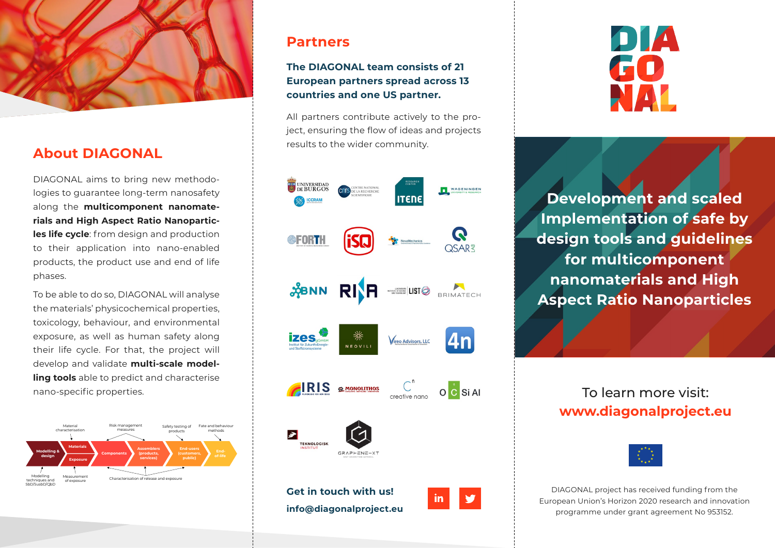

# **About DIAGONAL**

DIAGONAL aims to bring new methodologies to guarantee long-term nanosafety along the **multicomponent nanomaterials and High Aspect Ratio Nanoparticles life cycle**: from design and production to their application into nano-enabled products, the product use and end of life phases.

To be able to do so, DIAGONAL will analyse the materials' physicochemical properties, toxicology, behaviour, and environmental exposure, as well as human safety along their life cycle. For that, the project will develop and validate **multi-scale modelling tools** able to predict and characterise



## **Partners**

### **The DIAGONAL team consists of 21 European partners spread across 13 countries and one US partner.**

All partners contribute actively to the project, ensuring the flow of ideas and projects results to the wider community.





**Development and scaled Implementation of safe by design tools and guidelines for multicomponent nanomaterials and High Aspect Ratio Nanoparticles**

# **www.diagonalproject.eu**



DIAGONAL project has received funding from the European Union's Horizon 2020 research and innovation programme under grant agreement No 953152.